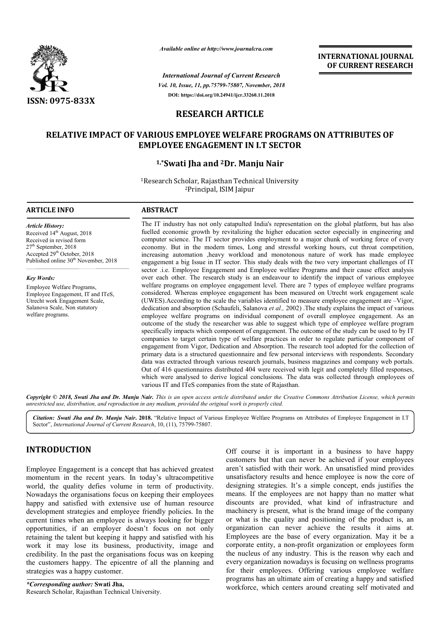

*Available online at http://www.journalcra.com*

*Vol. 10, Issue, 11, pp.75799-75807, November, 2018 International Journal of Current Research* **DOI: https://doi.org/10.24941/ijcr.33260.11.2018**

**INTERNATIONAL JOURNAL OF CURRENT RESEARCH**

# **RESEARCH ARTICLE**

# **RELATIVE IMPACT OF VARIOUS EMPLOYEE WELFARE PROGRAMS ON ATTRIBUTES OF EMPLOYEE ENGAGEMENT IN I.T SECTOR**

# **1 1,\*Swati Jha and 2Dr. Manju Nair**

<sup>1</sup>Research Scholar, Rajasthan Technical University 2Principal, ISIM Jaipur

# **ARTICLE INFO ABSTRACT**

*Article History:* Received 14<sup>th</sup> August, 2018 Received in revised form 27th September, 2018 Accepted 29<sup>th</sup> October, 2018 Published online  $30<sup>th</sup>$  November, 2018

*Key Words:*

Employee Welfare Programs, Employee Engagement, IT and ITeS, Utrecht work Engagement Scale, Salanova Scale, Non statutory welfare programs.

The IT industry has not only catapulted India's representation on the global platform, but has also fuelled economic growth by revitalizing the higher education sector especially in engineering and computer science. The IT sector provides employment to a major chunk of working force of every The IT industry has not only catapulted India's representation on the global platform, but has also fuelled economic growth by revitalizing the higher education sector especially in engineering and computer science. The IT increasing automation ,heavy workload and monotonous nature of work has made employee engagement a big Issue in IT sector. This study deals with the two very important challenges of IT sector .i.e. Employee Engagement and Employee welfare Programs and their cause effect analysis over each other. The research study is an endeavour to identify the impact of various employee welfare programs on employee engagement level. There are 7 types of employee welfare programs considered. Whereas employee engagement has been measured on Utrecht work engagement scale (UWES).According to the scale the variables identified to measure employee engagement are –Vigor, dedication and absorption (Schaufeli, Salanova et al., 2002) .The study explains the impact of various employee welfare programs on individual component of overall employee engagement. As an outcome of the study the researcher was able to suggest which type of employee welfare program employee welfare programs on individual component of overall employee engagement. As an outcome of the study the researcher was able to suggest which type of employee welfare program specifically impacts which component of companies to target certain type of welfare practices in order to regulate particular component of engagement from Vigor, Dedication and Absorption. The research tool adopted for the collection of primary data is a structured questionnaire and few personal interviews with respondents. Secondary data was extracted through various research journals, business magazines and company web portals. Out of 416 questionnaires distributed 404 were received with legit and completely filled responses, which were analysed to derive logical conclusions. The data was collected through employees of various IT and ITeS companies from the state of Rajasthan. increasing automation ,heavy workload and monotonous nature of work has made employee engagement a big Issue in IT sector. This study deals with the two very important challenges of IT sector .i.e. Employee Engagement and companies to target certain type of welfare practices in order to regulate particular component of engagement from Vigor, Dedication and Absorption. The research tool adopted for the collection of primary data is a structu

Copyright © 2018, Swati Jha and Dr. Manju Nair. This is an open access article distributed under the Creative Commons Attribution License, which permits *unrestricted use, distribution, and reproduction in any medium, provided the original work is properly cited.*

Citation: Swati Jha and Dr. Manju Nair. 2018. "Relative Impact of Various Employee Welfare Programs on Attributes of Employee Engagement in I.T Sector", *International Journal of Current Research*, 10 10, (11), 75799-75807.

# **INTRODUCTION**

Employee Engagement is a concept that has achieved greatest momentum in the recent years. In today's ultracompetitive world, the quality defies volume in term of productivity. Nowadays the organisations focus on keeping their employees happy and satisfied with extensive use of human resource development strategies and employee friendly policies. In the current times when an employee is always looking for bigger opportunities, if an employer doesn't focus on not only retaining the talent but keeping it happy and satisfied with his work it may lose its business, productivity, image and credibility. In the past the organisations focus was on keeping the customers happy. The epicentre of all the planning and strategies was a happy customer.

*\*Corresponding author:* **Swati Jha,** Research Scholar, Rajasthan Technical University.

**CTION**<br>
Off course it is important in a business to have happy<br>
customers but that can never be achieved if your employees<br>
in the recent years. In today's ultracompetitive<br>
unsatisfied with their work. An unsatisfied min customers but that can never be achieved if your employees aren't satisfied with their work. An unsatisfied mind provides unsatisfactory results and hence employee is now the core of designing strategies. It's a simple concept, ends justifies the means. If the employees are not happy than no matter what discounts are provided, what kind of infrastructure and machinery is present, what is the brand image of the compan or what is the quality and positioning of the product is, an organization can never achieve the results it aims at. organization can never achieve the results it aims at.<br>Employees are the base of every organization. May it be a corporate entity, a non-profit organization or employees form the nucleus of any industry. This is the reason why each and every organization nowadays is focusing on wellness programs for their employees. Offering various employee welfare programs has an ultimate aim of creating a happy and satisfied workforce, which centers around creating self motivated and Off course it is important in a business to have happy customers but that can never be achieved if your employees aren't satisfied with their work. An unsatisfied mind provides unsatisfactory results and hence employee is means. If the employees are not happy than no matter what discounts are provided, what kind of infrastructure and machinery is present, what is the brand image of the company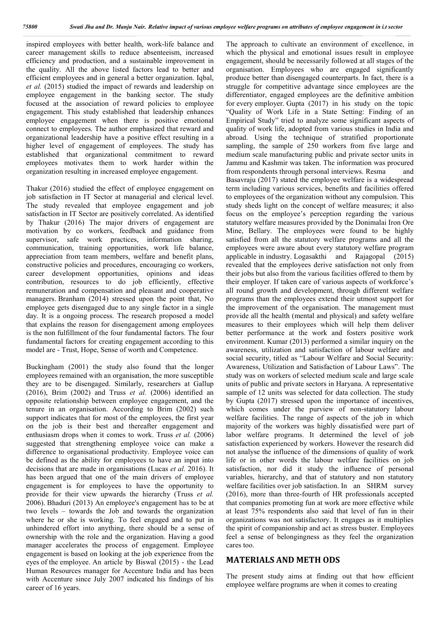inspired employees with better health, work-life balance and career management skills to reduce absenteeism, increased efficiency and production, and a sustainable improvement in the quality. All the above listed factors lead to better and efficient employees and in general a better organization. Iqbal, *et al.* (2015) studied the impact of rewards and leadership on employee engagement in the banking sector. The study focused at the association of reward policies to employee engagement. This study established that leadership enhances employee engagement when there is positive emotional connect to employees. The author emphasized that reward and organizational leadership have a positive effect resulting in a higher level of engagement of employees. The study has established that organizational commitment to reward employees motivates them to work harder within the organization resulting in increased employee engagement.

Thakur (2016) studied the effect of employee engagement on job satisfaction in IT Sector at managerial and clerical level. The study revealed that employee engagement and job satisfaction in IT Sector are positively correlated. As identified by Thakur (2016) The major drivers of engagement are motivation by co workers, feedback and guidance from supervisor, safe work practices, information sharing, communication, training opportunities, work life balance, appreciation from team members, welfare and benefit plans, constructive policies and procedures, encouraging co workers, career development opportunities, opinions and ideas contribution, resources to do job efficiently, effective remuneration and compensation and pleasant and cooperative managers. Branham (2014) stressed upon the point that, No employee gets disengaged due to any single factor in a single day. It is a ongoing process. The research proposed a model that explains the reason for disengagement among employees is the non fulfillment of the four fundamental factors. The four fundamental factors for creating engagement according to this model are - Trust, Hope, Sense of worth and Competence.

Buckingham (2001) the study also found that the longer employees remained with an organisation, the more susceptible they are to be disengaged. Similarly, researchers at Gallup (2016), Brim (2002) and Truss *et al.* (2006) identified an opposite relationship between employee engagement, and the tenure in an organisation. According to Brim (2002) such support indicates that for most of the employees, the first year on the job is their best and thereafter engagement and enthusiasm drops when it comes to work. Truss *et al.* (2006) suggested that strengthening employee voice can make a difference to organisational productivity. Employee voice can be defined as the ability for employees to have an input into decisions that are made in organisations (Lucas *et al.* 2016). It has been argued that one of the main drivers of employee engagement is for employees to have the opportunity to provide for their view upwards the hierarchy (Truss *et al.* 2006). Bhaduri (2013) An employee's engagement has to be at two levels – towards the Job and towards the organization where he or she is working. To feel engaged and to put in unhindered effort into anything, there should be a sense of ownership with the role and the organization. Having a good manager accelerates the process of engagement. Employee engagement is based on looking at the job experience from the eyes of the employee. An article by Biswal (2015) - the Lead Human Resources manager for Accenture India and has been with Accenture since July 2007 indicated his findings of his career of 16 years.

The approach to cultivate an environment of excellence, in which the physical and emotional issues result in employee engagement, should be necessarily followed at all stages of the organisation. Employees who are engaged significantly produce better than disengaged counterparts. In fact, there is a struggle for competitive advantage since employees are the differentiator, engaged employees are the definitive ambition for every employer. Gupta (2017) in his study on the topic "Quality of Work Life in a State Setting: Finding of an Empirical Study" tried to analyze some significant aspects of quality of work life, adopted from various studies in India and abroad. Using the technique of stratified proportionate sampling, the sample of 250 workers from five large and medium scale manufacturing public and private sector units in Jammu and Kashmir was taken. The information was procured from respondents through personal interviews. Resma and Basavraju (2017) stated the employee welfare is a widespread term including various services, benefits and facilities offered to employees of the organization without any compulsion. This study sheds light on the concept of welfare measures; it also focus on the employee's perception regarding the various statutory welfare measures provided by the Donimalai Iron Ore Mine, Bellary. The employees were found to be highly satisfied from all the statutory welfare programs and all the employees were aware about every statutory welfare program applicable in industry. Logasakthi and Rajagopal (2015) revealed that the employees derive satisfaction not only from their jobs but also from the various facilities offered to them by their employer. If taken care of various aspects of workforce's all round growth and development, through different welfare programs than the employees extend their utmost support for the improvement of the organisation. The management must provide all the health (mental and physical) and safety welfare measures to their employees which will help them deliver better performance at the work and fosters positive work environment. Kumar (2013) performed a similar inquiry on the awareness, utilization and satisfaction of labour welfare and social security, titled as "Labour Welfare and Social Security: Awareness, Utilization and Satisfaction of Labour Laws". The study was on workers of selected medium scale and large scale units of public and private sectors in Haryana. A representative sample of 12 units was selected for data collection. The study by Gupta (2017) stressed upon the importance of incentives, which comes under the purview of non-statutory labour welfare facilities. The range of aspects of the job in which majority of the workers was highly dissatisfied were part of labor welfare programs. It determined the level of job satisfaction experienced by workers. However the research did not analyse the influence of the dimensions of quality of work life or in other words the labour welfare facilities on job satisfaction, nor did it study the influence of personal variables, hierarchy, and that of statutory and non statutory welfare facilities over job satisfaction. In an SHRM survey (2016), more than three-fourth of HR professionals accepted that companies promoting fun at work are more effective while at least 75% respondents also said that level of fun in their organizations was not satisfactory. It engages as it multiplies the spirit of companionship and act as stress buster. Employees feel a sense of belongingness as they feel the organization cares too.

# **MATERIALS AND METH ODS**

The present study aims at finding out that how efficient employee welfare programs are when it comes to creating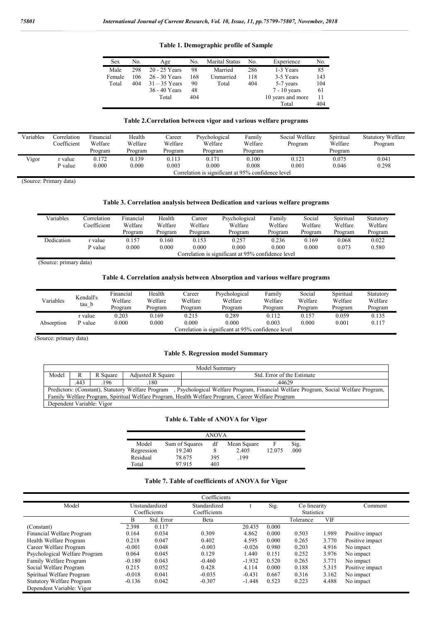**Table 1. Demographic profile of Sample**

| <b>Sex</b> | No. | Age             | No. | <b>Marital Status</b> | No. | Experience        | No. |
|------------|-----|-----------------|-----|-----------------------|-----|-------------------|-----|
| Male       | 298 | 20 - 25 Years   | 98  | Married               | 286 | 1-3 Years         | 85  |
| Female     | 106 | 26 - 30 Years   | 168 | Unmarried             | 118 | 3-5 Years         | 143 |
| Total      | 404 | $31 - 35$ Years | 90  | Total                 | 404 | 5-7 years         | 104 |
|            |     | 36 - 40 Years   | 48  |                       |     | $7 - 10$ years    | 61  |
|            |     | Total           | 404 |                       |     | 10 years and more | 11  |
|            |     |                 |     |                       |     | Total             | 404 |

# **Table 2.Correlation between vigor and various welfare programs**

| Variables | Correlation<br>Coefficient | Financial<br>Welfare<br>Program | Health<br>Welfare<br>Program | Career<br>Welfare<br>Program | Psychological<br>Welfare<br>Program                                  | Family<br>Welfare<br>Program | Social Welfare<br>Program | Spiritual<br>Welfare<br>Program | <b>Statutory Welfare</b><br>Program |
|-----------|----------------------------|---------------------------------|------------------------------|------------------------------|----------------------------------------------------------------------|------------------------------|---------------------------|---------------------------------|-------------------------------------|
| Vigor     | r value<br>P value         | 0.172<br>0.000                  | 0.139<br>0.000               | 0.113<br>0.003               | 0.171<br>0.000<br>Correlation is significant at 95% confidence level | 0.100<br>0.008               | 0.121<br>0.001            | 0.075<br>0.046                  | 0.041<br>0.298                      |

(Source: Primary data)

#### **Table 3. Correlation analysis between Dedication and various welfare programs**

| Variables  | Correlation<br>Coefficient                         | Financial<br>Welfare<br>Program | Health<br>Welfare<br>Program | Career<br>Welfare<br>Program | Psychological<br>Welfare<br>Program | Family<br>Welfare<br>Program | Social<br>Welfare<br>Program | Spiritual<br>Welfare<br>Program | Statutory<br>Welfare<br>Program |  |  |
|------------|----------------------------------------------------|---------------------------------|------------------------------|------------------------------|-------------------------------------|------------------------------|------------------------------|---------------------------------|---------------------------------|--|--|
| Dedication | r value<br>P value                                 | 0.157<br>0.000                  | 0.160<br>0.000               | 0.153<br>0.000               | 0.257<br>0.000                      | 0.236<br>0.000               | 0.169<br>0.000               | 0.068<br>0.073                  | 0.022<br>0.580                  |  |  |
|            | Correlation is significant at 95% confidence level |                                 |                              |                              |                                     |                              |                              |                                 |                                 |  |  |

(Source: primary data)

#### **Table 4. Correlation analysis between Absorption and various welfare programs**

| Variables                                          | Kendall's<br>$tau_b$ | Financial<br>Welfare<br>Program | Health<br>Welfare<br>Program | Career<br>Welfare<br>Program | Psychological<br>Welfare<br>Program | Family<br>Welfare<br>Program | Social<br>Welfare<br>Program | Spiritual<br>Welfare<br>Program | Statutory<br>Welfare<br>Program |
|----------------------------------------------------|----------------------|---------------------------------|------------------------------|------------------------------|-------------------------------------|------------------------------|------------------------------|---------------------------------|---------------------------------|
| Absorption                                         | r value<br>P value   | 0.203<br>0.000                  | 0.169<br>0.000               | 0.215<br>0.000               | 0.289<br>0.000                      | 0.112<br>0.003               | 0.157<br>0.000               | 0.059<br>0.001                  | 0.135<br>0.117                  |
| Correlation is significant at 95% confidence level |                      |                                 |                              |                              |                                     |                              |                              |                                 |                                 |

(Source: primary data)

# **Table 5. Regression model Summary**

|       | Model Summary                                                                                                                         |                           |                          |                            |  |  |  |  |  |  |
|-------|---------------------------------------------------------------------------------------------------------------------------------------|---------------------------|--------------------------|----------------------------|--|--|--|--|--|--|
| Model |                                                                                                                                       | R Square                  | <b>Adiusted R Square</b> | Std. Error of the Estimate |  |  |  |  |  |  |
|       | .443                                                                                                                                  | .196                      | 180                      | 44629                      |  |  |  |  |  |  |
|       | Predictors: (Constant), Statutory Welfare Program , Psychological Welfare Program, Financial Welfare Program, Social Welfare Program, |                           |                          |                            |  |  |  |  |  |  |
|       | Family Welfare Program, Spiritual Welfare Program, Health Welfare Program, Career Welfare Program                                     |                           |                          |                            |  |  |  |  |  |  |
|       |                                                                                                                                       | Dependent Variable: Vigor |                          |                            |  |  |  |  |  |  |

# **Table 6. Table of ANOVA for Vigor**

|            |                | <b>ANOVA</b> |             |        |      |
|------------|----------------|--------------|-------------|--------|------|
|            |                |              |             |        |      |
| Model      | Sum of Squares | df           | Mean Square | F      | Sig. |
| Regression | 19.240         |              | 2.405       | 12.075 | .000 |
| Residual   | 78.675         | 395          | .199        |        |      |
| Total      | 97 915         | 403          |             |        |      |

# **Table 7. Table of coefficients of ANOVA for Vigor**

|                                  |          |                | Coefficients |          |       |                   |       |                 |
|----------------------------------|----------|----------------|--------------|----------|-------|-------------------|-------|-----------------|
| Model                            |          | Unstandardized | Standardized |          | Sig.  | Co linearity      |       | Comment         |
|                                  |          | Coefficients   | Coefficients |          |       | <b>Statistics</b> |       |                 |
|                                  | B        | Std. Error     | Beta         |          |       | Tolerance         | VIF   |                 |
| (Constant)                       | 2.398    | 0.117          |              | 20.435   | 0.000 |                   |       |                 |
| Financial Welfare Program        | 0.164    | 0.034          | 0.309        | 4.862    | 0.000 | 0.503             | 1.989 | Positive impact |
| Health Welfare Program           | 0.218    | 0.047          | 0.402        | 4.595    | 0.000 | 0.265             | 3.770 | Positive impact |
| Career Welfare Program           | $-0.001$ | 0.048          | $-0.003$     | $-0.026$ | 0.980 | 0.203             | 4.916 | No impact       |
| Psychological Welfare Program    | 0.064    | 0.045          | 0.129        | 1.440    | 0.151 | 0.252             | 3.976 | No impact       |
| Family Welfare Program           | $-0.180$ | 0.043          | $-0.460$     | $-1.932$ | 0.520 | 0.265             | 3.771 | No impact       |
| Social Welfare Program           | 0.215    | 0.052          | 0.428        | 4.114    | 0.000 | 0.188             | 5.315 | Positive impact |
| Spiritual Welfare Program        | $-0.018$ | 0.041          | $-0.035$     | $-0.431$ | 0.667 | 0.316             | 3.162 | No impact       |
| <b>Statutory Welfare Program</b> | $-0.136$ | 0.042          | $-0.307$     | $-1.448$ | 0.523 | 0.223             | 4.488 | No impact       |
| Dependent Variable: Vigor        |          |                |              |          |       |                   |       |                 |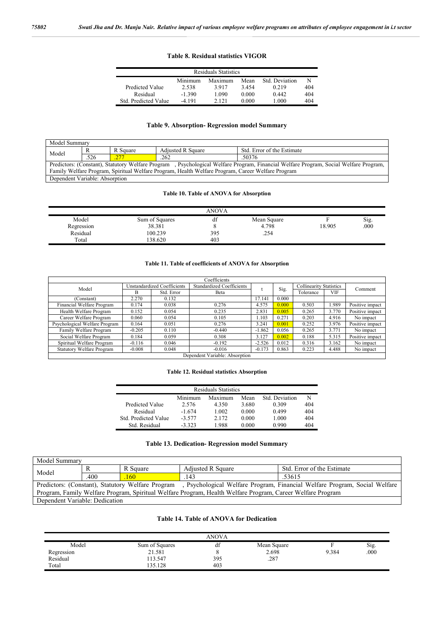#### **Table 8. Residual statistics VIGOR**

| <b>Residuals Statistics</b> |          |         |       |                |     |  |  |  |  |
|-----------------------------|----------|---------|-------|----------------|-----|--|--|--|--|
|                             | Minimum  | Maximum | Mean  | Std. Deviation |     |  |  |  |  |
| Predicted Value             | 2.538    | 3917    | 3454  | 0.219          | 404 |  |  |  |  |
| Residual                    | $-1,390$ | 1 090   | 0.000 | 0.442          | 404 |  |  |  |  |
| Std. Predicted Value        | -4 191   | 2 12 1  | 0.000 | 1.000          | 404 |  |  |  |  |

# **Table 9. Absorption- Regression model Summary**

| Model Summary                                                                                     |                                          |  |                   |                                                                                                                                      |  |  |  |
|---------------------------------------------------------------------------------------------------|------------------------------------------|--|-------------------|--------------------------------------------------------------------------------------------------------------------------------------|--|--|--|
|                                                                                                   | R Square<br>Model<br>.526<br>277<br>.262 |  | Adjusted R Square | Std. Error of the Estimate                                                                                                           |  |  |  |
|                                                                                                   |                                          |  |                   | .50376                                                                                                                               |  |  |  |
|                                                                                                   |                                          |  |                   | Predictors: (Constant), Statutory Welfare Program, Psychological Welfare Program, Financial Welfare Program, Social Welfare Program, |  |  |  |
| Family Welfare Program, Spiritual Welfare Program, Health Welfare Program, Career Welfare Program |                                          |  |                   |                                                                                                                                      |  |  |  |
| Dependent Variable: Absorption                                                                    |                                          |  |                   |                                                                                                                                      |  |  |  |

# **Table 10. Table of ANOVA for Absorption**

|            |                | ANOVA       |             |        |      |
|------------|----------------|-------------|-------------|--------|------|
| Model      | Sum of Squares | $\sim$<br>u | Mean Square |        | Sig. |
| Regression | 38.381         |             | 4.798       | 18.905 | 000  |
| Residual   | 100.239        | 395         | .254        |        |      |
| Total      | 138.620        | 403         |             |        |      |

# **Table 11. Table of coefficients of ANOVA for Absorption**

|                                  |          |                             | Coefficients                     |          |       |                                |       |                 |
|----------------------------------|----------|-----------------------------|----------------------------------|----------|-------|--------------------------------|-------|-----------------|
| Model                            |          | Unstandardized Coefficients | <b>Standardized Coefficients</b> |          | Sig.  | <b>Collinearity Statistics</b> |       | Comment         |
|                                  | R        | Std. Error                  | Beta                             |          |       | Tolerance                      | VIF   |                 |
| (Constant)                       | 2.270    | 0.132                       |                                  | 17.141   | 0.000 |                                |       |                 |
| Financial Welfare Program        | 0.174    | 0.038                       | 0.276                            | 4.575    | 0.000 | 0.503                          | .989  | Positive impact |
| Health Welfare Program           | 0.152    | 0.054                       | 0.235                            | 2.831    | 0.005 | 0.265                          | 3.770 | Positive impact |
| Career Welfare Program           | 0.060    | 0.054                       | 0.105                            | 1.103    | 0.271 | 0.203                          | 4.916 | No impact       |
| Psychological Welfare Program    | 0.164    | 0.051                       | 0.276                            | 3.241    | 0.001 | 0.252                          | 3.976 | Positive impact |
| Family Welfare Program           | $-0.205$ | 0.110                       | $-0.440$                         | $-1.862$ | 0.056 | 0.265                          | 3.771 | No impact       |
| Social Welfare Program           | 0.184    | 0.059                       | 0.308                            | 3.127    | 0.002 | 0.188                          | 5.315 | Positive impact |
| Spiritual Welfare Program        | $-0.116$ | 0.046                       | $-0.192$                         | $-2.526$ | 0.012 | 0.316                          | 3.162 | No impact       |
| <b>Statutory Welfare Program</b> | $-0.008$ | 0.048                       | $-0.016$                         | $-0.173$ | 0.863 | 0.223                          | 4.488 | No impact       |
|                                  |          |                             | Dependent Variable: Absorption   |          |       |                                |       |                 |

# **Table 12. Residual statistics Absorption**

| <b>Residuals Statistics</b>                  |          |       |       |       |     |  |  |  |  |
|----------------------------------------------|----------|-------|-------|-------|-----|--|--|--|--|
| Std. Deviation<br>Mean<br>Minimum<br>Maximum |          |       |       |       |     |  |  |  |  |
| Predicted Value                              | 2.576    | 4.350 | 3.680 | 0.309 | 404 |  |  |  |  |
| Residual                                     | $-1.674$ | 1.002 | 0.000 | 0.499 | 404 |  |  |  |  |
| Std. Predicted Value                         | $-3.577$ | 2.172 | 0.000 | 1.000 | 404 |  |  |  |  |
| Std. Residual                                | $-3323$  | 1.988 | 0.000 | 0.990 | 404 |  |  |  |  |

#### **Table 13. Dedication- Regression model Summary**

| Model Summary                                                                                                                   |      |            |                          |                            |  |  |  |
|---------------------------------------------------------------------------------------------------------------------------------|------|------------|--------------------------|----------------------------|--|--|--|
| Model                                                                                                                           |      | R Square   | <b>Adjusted R Square</b> | Std. Error of the Estimate |  |  |  |
|                                                                                                                                 | .400 | <b>160</b> | 143                      | .53615                     |  |  |  |
| Predictors: (Constant), Statutory Welfare Program<br>, Psychological Welfare Program, Financial Welfare Program, Social Welfare |      |            |                          |                            |  |  |  |
| Program, Family Welfare Program, Spiritual Welfare Program, Health Welfare Program, Career Welfare Program                      |      |            |                          |                            |  |  |  |
| Dependent Variable: Dedication                                                                                                  |      |            |                          |                            |  |  |  |

# **Table 14. Table of ANOVA for Dedication**

|            |                | <b>ANOVA</b> |             |       |      |
|------------|----------------|--------------|-------------|-------|------|
| Model      | Sum of Squares | đĪ           | Mean Square |       | Sig. |
| Regression | 21.581         |              | 2.698       | 9.384 | .000 |
| Residual   | 13.547         | 395          | .287        |       |      |
| Total      | 135.128        | 403          |             |       |      |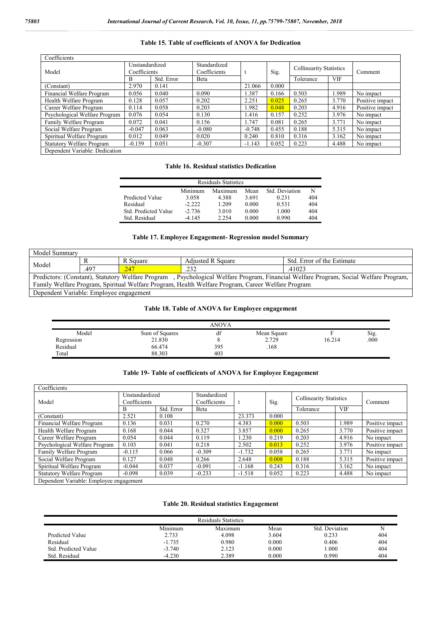# **Table 15. Table of coefficients of ANOVA for Dedication**

| Coefficients                     |                                |            |                              |          |       |                                |            |                 |
|----------------------------------|--------------------------------|------------|------------------------------|----------|-------|--------------------------------|------------|-----------------|
| Model                            | Unstandardized<br>Coefficients |            | Standardized<br>Coefficients |          | Sig.  | <b>Collinearity Statistics</b> |            | Comment         |
|                                  | B                              | Std. Error | Beta                         |          |       | Tolerance                      | <b>VIF</b> |                 |
| (Constant)                       | 2.970                          | 0.141      |                              | 21.066   | 0.000 |                                |            |                 |
| Financial Welfare Program        | 0.056                          | 0.040      | 0.090                        | 1.387    | 0.166 | 0.503                          | 1.989      | No impact       |
| Health Welfare Program           | 0.128                          | 0.057      | 0.202                        | 2.251    | 0.025 | 0.265                          | 3.770      | Positive impact |
| Career Welfare Program           | 0.114                          | 0.058      | 0.203                        | 1.982    | 0.048 | 0.203                          | 4.916      | Positive impact |
| Psychological Welfare Program    | 0.076                          | 0.054      | 0.130                        | 1.416    | 0.157 | 0.252                          | 3.976      | No impact       |
| Family Welfare Program           | 0.072                          | 0.041      | 0.156                        | 1.747    | 0.081 | 0.265                          | 3.771      | No impact       |
| Social Welfare Program           | $-0.047$                       | 0.063      | $-0.080$                     | $-0.748$ | 0.455 | 0.188                          | 5.315      | No impact       |
| Spiritual Welfare Program        | 0.012                          | 0.049      | 0.020                        | 0.240    | 0.810 | 0.316                          | 3.162      | No impact       |
| <b>Statutory Welfare Program</b> | $-0.159$                       | 0.051      | $-0.307$                     | $-1.143$ | 0.052 | 0.223                          | 4.488      | No impact       |
| Denendent Variable: Dedication   |                                |            |                              |          |       |                                |            |                 |

#### Dependent Variable: Dedication

#### **Table 16. Residual statistics Dedication**

| <b>Residuals Statistics</b> |          |         |       |                |     |  |  |  |  |
|-----------------------------|----------|---------|-------|----------------|-----|--|--|--|--|
|                             | Minimum  | Maximum | Mean  | Std. Deviation | N   |  |  |  |  |
| Predicted Value             | 3.058    | 4.388   | 3.691 | 0.231          | 404 |  |  |  |  |
| Residual                    | $-2.222$ | 1 209   | 0.000 | 0.531          | 404 |  |  |  |  |
| Std. Predicted Value        | $-2.736$ | 3.010   | 0.000 | 1.000          | 404 |  |  |  |  |
| Std. Residual               | $-4145$  | 2.254   | 0.000 | 0.990          | 404 |  |  |  |  |

# **Table 17. Employee Engagement- Regression model Summary**

| Model Summary                                                                                                                         |  |          |                          |                            |  |  |  |
|---------------------------------------------------------------------------------------------------------------------------------------|--|----------|--------------------------|----------------------------|--|--|--|
| Model<br>.497<br>$\sqrt{247}$                                                                                                         |  | R Square | <b>Adjusted R Square</b> | Std. Error of the Estimate |  |  |  |
|                                                                                                                                       |  | .232     | .41023                   |                            |  |  |  |
| Predictors: (Constant), Statutory Welfare Program , Psychological Welfare Program, Financial Welfare Program, Social Welfare Program, |  |          |                          |                            |  |  |  |
| Family Welfare Program, Spiritual Welfare Program, Health Welfare Program, Career Welfare Program                                     |  |          |                          |                            |  |  |  |
| Dependent Variable: Employee engagement                                                                                               |  |          |                          |                            |  |  |  |

# **Table 18. Table of ANOVA for Employee engagement**

|            |                | ANOVA |             |        |      |
|------------|----------------|-------|-------------|--------|------|
| Model      | Sum of Squares | ai    | Mean Square |        | Sig  |
| Regression | 21.830         |       | 2.729       | 16.214 | .000 |
| Residual   | 66.474         | 395   | 168         |        |      |
| Total      | 88.303         | 403   |             |        |      |

#### **Table 19- Table of coefficients of ANOVA for Employee Engagement**

| Coefficients                            |                                |            |                              |          |       |                                |            |                 |  |
|-----------------------------------------|--------------------------------|------------|------------------------------|----------|-------|--------------------------------|------------|-----------------|--|
| Model                                   | Unstandardized<br>Coefficients |            | Standardized<br>Coefficients |          | Sig.  | <b>Collinearity Statistics</b> |            | Comment         |  |
|                                         | B                              | Std. Error | Beta                         |          |       | Tolerance                      | <b>VIF</b> |                 |  |
| (Constant)                              | 2.521                          | 0.108      |                              | 23.373   | 0.000 |                                |            |                 |  |
| Financial Welfare Program               | 0.136                          | 0.031      | 0.270                        | 4.383    | 0.000 | 0.503                          | 1.989      | Positive impact |  |
| Health Welfare Program                  | 0.168                          | 0.044      | 0.327                        | 3.857    | 0.000 | 0.265                          | 3.770      | Positive impact |  |
| Career Welfare Program                  | 0.054                          | 0.044      | 0.119                        | 1.230    | 0.219 | 0.203                          | 4.916      | No impact       |  |
| Psychological Welfare Program           | 0.103                          | 0.041      | 0.218                        | 2.502    | 0.013 | 0.252                          | 3.976      | Positive impact |  |
| Family Welfare Program                  | $-0.115$                       | 0.066      | $-0.309$                     | $-1.732$ | 0.058 | 0.265                          | 3.771      | No impact       |  |
| Social Welfare Program                  | 0.127                          | 0.048      | 0.266                        | 2.648    | 0.008 | 0.188                          | 5.315      | Positive impact |  |
| Spiritual Welfare Program               | $-0.044$                       | 0.037      | $-0.091$                     | $-1.168$ | 0.243 | 0.316                          | 3.162      | No impact       |  |
| <b>Statutory Welfare Program</b>        | $-0.098$                       | 0.039      | $-0.233$                     | $-1.518$ | 0.052 | 0.223                          | 4.488      | No impact       |  |
| Dependent Variable: Employee engagement |                                |            |                              |          |       |                                |            |                 |  |

# **Table 20. Residual statistics Engagement**

| <b>Residuals Statistics</b> |          |         |       |                |     |  |  |
|-----------------------------|----------|---------|-------|----------------|-----|--|--|
|                             | Minimum  | Maximum | Mean  | Std. Deviation |     |  |  |
| Predicted Value             | 2.733    | 4.098   | 3.604 | 0.233          | 404 |  |  |
| Residual                    | $-1.735$ | 0.980   | 0.000 | 0.406          | 404 |  |  |
| Std. Predicted Value        | $-3.740$ | 2.123   | 0.000 | 1.000          | 404 |  |  |
| Std. Residual               | $-4.230$ | 2.389   | 0.000 | 0.990          | 404 |  |  |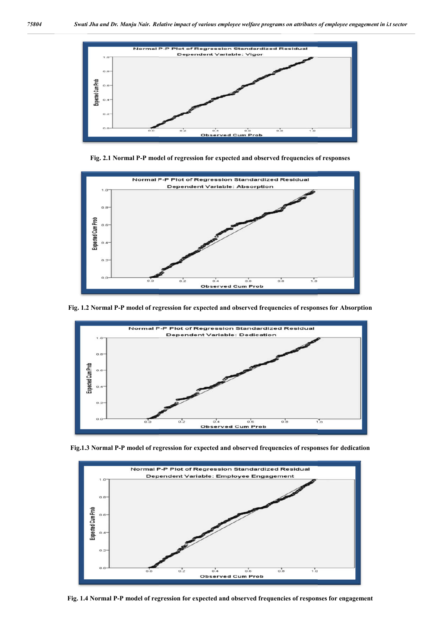

Fig. 2.1 Normal P-P model of regression for expected and observed frequencies of responses



**Fig. 1.2 Normal P-P model of regression for expected and observed frequencies of responses for Absorption**



**Fig.1.3 Normal P-P model of regression for expected and observed frequencies of responses for dedication**



**Fig. 1.4 Normal P-P model of regression for expected and observ**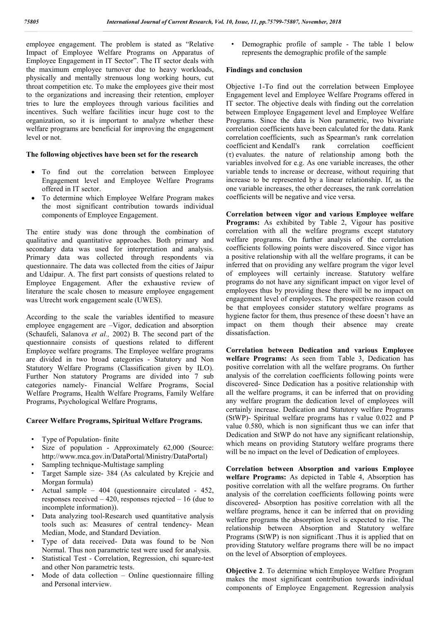employee engagement. The problem is stated as "Relative Impact of Employee Welfare Programs on Apparatus of Employee Engagement in IT Sector". The IT sector deals with the maximum employee turnover due to heavy workloads, physically and mentally strenuous long working hours, cut throat competition etc. To make the employees give their most to the organizations and increasing their retention, employer tries to lure the employees through various facilities and incentives. Such welfare facilities incur huge cost to the organization, so it is important to analyze whether these welfare programs are beneficial for improving the engagement level or not.

#### **The following objectives have been set for the research**

- To find out the correlation between Employee Engagement level and Employee Welfare Programs offered in IT sector.
- To determine which Employee Welfare Program makes the most significant contribution towards individual components of Employee Engagement.

The entire study was done through the combination of qualitative and quantitative approaches. Both primary and secondary data was used for interpretation and analysis. Primary data was collected through respondents via questionnaire. The data was collected from the cities of Jaipur and Udaipur. A. The first part consists of questions related to Employee Engagement. After the exhaustive review of literature the scale chosen to measure employee engagement was Utrecht work engagement scale (UWES).

According to the scale the variables identified to measure employee engagement are –Vigor, dedication and absorption (Schaufeli, Salanova *et al.,* 2002) B. The second part of the questionnaire consists of questions related to different Employee welfare programs. The Employee welfare programs are divided in two broad categories - Statutory and Non Statutory Welfare Programs (Classification given by ILO). Further Non statutory Programs are divided into 7 sub categories namely- Financial Welfare Programs, Social Welfare Programs, Health Welfare Programs, Family Welfare Programs, Psychological Welfare Programs,

#### **Career Welfare Programs, Spiritual Welfare Programs.**

- Type of Population- finite
- Size of population Approximately 62,000 (Source: http://www.mca.gov.in/DataPortal/Ministry/DataPortal)
- Sampling technique-Multistage sampling
- Target Sample size- 384 (As calculated by Krejcie and Morgan formula)
- Actual sample 404 (questionnaire circulated 452, responses received – 420, responses rejected – 16 (due to incomplete information)).
- Data analyzing tool-Research used quantitative analysis tools such as: Measures of central tendency- Mean Median, Mode, and Standard Deviation.
- Type of data received- Data was found to be Non Normal. Thus non parametric test were used for analysis.
- Statistical Test Correlation, Regression, chi square-test and other Non parametric tests.
- Mode of data collection  $-$  Online questionnaire filling and Personal interview.

• Demographic profile of sample - The table 1 below represents the demographic profile of the sample

#### **Findings and conclusion**

Objective 1-To find out the correlation between Employee Engagement level and Employee Welfare Programs offered in IT sector. The objective deals with finding out the correlation between Employee Engagement level and Employee Welfare Programs. Since the data is Non parametric, two bivariate correlation coefficients have been calculated for the data. Rank correlation coefficients, such as Spearman's rank correlation coefficient and Kendall's rank correlation coefficient (τ) evaluates. the nature of relationship among both the variables involved for e.g. As one variable increases, the other variable tends to increase or decrease, without requiring that increase to be represented by a linear relationship. If, as the one variable increases, the other decreases, the rank correlation coefficients will be negative and vice versa.

**Correlation between vigor and various Employee welfare Programs:** As exhibited by Table 2, Vigour has positive correlation with all the welfare programs except statutory welfare programs. On further analysis of the correlation coefficients following points were discovered. Since vigor has a positive relationship with all the welfare programs, it can be inferred that on providing any welfare program the vigor level of employees will certainly increase. Statutory welfare programs do not have any significant impact on vigor level of employees thus by providing these there will be no impact on engagement level of employees. The prospective reason could be that employees consider statutory welfare programs as hygiene factor for them, thus presence of these doesn't have an impact on them though their absence may create dissatisfaction.

**Correlation between Dedication and various Employee welfare Programs:** As seen from Table 3, Dedication has positive correlation with all the welfare programs. On further analysis of the correlation coefficients following points were discovered- Since Dedication has a positive relationship with all the welfare programs, it can be inferred that on providing any welfare program the dedication level of employees will certainly increase. Dedication and Statutory welfare Programs (StWP)- Spiritual welfare programs has r value 0.022 and P value 0.580, which is non significant thus we can infer that Dedication and StWP do not have any significant relationship, which means on providing Statutory welfare programs there will be no impact on the level of Dedication of employees.

**Correlation between Absorption and various Employee welfare Programs:** As depicted in Table 4, Absorption has positive correlation with all the welfare programs. On further analysis of the correlation coefficients following points were discovered- Absorption has positive correlation with all the welfare programs, hence it can be inferred that on providing welfare programs the absorption level is expected to rise. The relationship between Absorption and Statutory welfare Programs (StWP) is non significant .Thus it is applied that on providing Statutory welfare programs there will be no impact on the level of Absorption of employees.

**Objective 2**. To determine which Employee Welfare Program makes the most significant contribution towards individual components of Employee Engagement. Regression analysis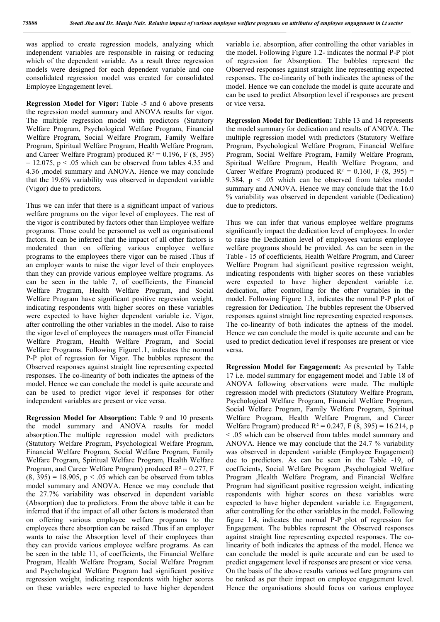was applied to create regression models, analyzing which independent variables are responsible in raising or reducing which of the dependent variable. As a result three regression models were designed for each dependent variable and one consolidated regression model was created for consolidated Employee Engagement level.

**Regression Model for Vigor:** Table -5 and 6 above presents the regression model summary and ANOVA results for vigor. The multiple regression model with predictors (Statutory Welfare Program, Psychological Welfare Program, Financial Welfare Program, Social Welfare Program, Family Welfare Program, Spiritual Welfare Program, Health Welfare Program, and Career Welfare Program) produced  $R^2 = 0.196$ , F (8, 395)  $= 12.075$ , p  $\leq 0.05$  which can be observed from tables 4.35 and 4.36 ,model summary and ANOVA. Hence we may conclude that the 19.6% variability was observed in dependent variable (Vigor) due to predictors.

Thus we can infer that there is a significant impact of various welfare programs on the vigor level of employees. The rest of the vigor is contributed by factors other than Employee welfare programs. Those could be personnel as well as organisational factors. It can be inferred that the impact of all other factors is moderated than on offering various employee welfare programs to the employees there vigor can be raised .Thus if an employer wants to raise the vigor level of their employees than they can provide various employee welfare programs. As can be seen in the table 7, of coefficients, the Financial Welfare Program, Health Welfare Program, and Social Welfare Program have significant positive regression weight, indicating respondents with higher scores on these variables were expected to have higher dependent variable i.e. Vigor, after controlling the other variables in the model. Also to raise the vigor level of employees the managers must offer Financial Welfare Program, Health Welfare Program, and Social Welfare Programs. Following Figure1.1, indicates the normal P-P plot of regression for Vigor. The bubbles represent the Observed responses against straight line representing expected responses. The co-linearity of both indicates the aptness of the model. Hence we can conclude the model is quite accurate and can be used to predict vigor level if responses for other independent variables are present or vice versa.

**Regression Model for Absorption:** Table 9 and 10 presents the model summary and ANOVA results for model absorption.The multiple regression model with predictors (Statutory Welfare Program, Psychological Welfare Program, Financial Welfare Program, Social Welfare Program, Family Welfare Program, Spiritual Welfare Program, Health Welfare Program, and Career Welfare Program) produced  $R^2 = 0.277$ , F  $(8, 395) = 18.905$ ,  $p < .05$  which can be observed from tables model summary and ANOVA. Hence we may conclude that the 27.7% variability was observed in dependent variable (Absorption) due to predictors. From the above table it can be inferred that if the impact of all other factors is moderated than on offering various employee welfare programs to the employees there absorption can be raised .Thus if an employer wants to raise the Absorption level of their employees than they can provide various employee welfare programs. As can be seen in the table 11, of coefficients, the Financial Welfare Program, Health Welfare Program, Social Welfare Program and Psychological Welfare Program had significant positive regression weight, indicating respondents with higher scores on these variables were expected to have higher dependent

variable i.e. absorption, after controlling the other variables in the model. Following Figure 1.2- indicates the normal P-P plot of regression for Absorption. The bubbles represent the Observed responses against straight line representing expected responses. The co-linearity of both indicates the aptness of the model. Hence we can conclude the model is quite accurate and can be used to predict Absorption level if responses are present or vice versa.

**Regression Model for Dedication:** Table 13 and 14 represents the model summary for dedication and results of ANOVA. The multiple regression model with predictors (Statutory Welfare Program, Psychological Welfare Program, Financial Welfare Program, Social Welfare Program, Family Welfare Program, Spiritual Welfare Program, Health Welfare Program, and Career Welfare Program) produced  $R^2 = 0.160$ , F (8, 395) = 9.384,  $p \leq 0.05$  which can be observed from tables model summary and ANOVA. Hence we may conclude that the 16.0 % variability was observed in dependent variable (Dedication) due to predictors.

Thus we can infer that various employee welfare programs significantly impact the dedication level of employees. In order to raise the Dedication level of employees various employee welfare programs should be provided. As can be seen in the Table - 15 of coefficients, Health Welfare Program, and Career Welfare Program had significant positive regression weight, indicating respondents with higher scores on these variables were expected to have higher dependent variable i.e. dedication, after controlling for the other variables in the model. Following Figure 1.3, indicates the normal P-P plot of regression for Dedication. The bubbles represent the Observed responses against straight line representing expected responses. The co-linearity of both indicates the aptness of the model. Hence we can conclude the model is quite accurate and can be used to predict dedication level if responses are present or vice versa.

**Regression Model for Engagement:** As presented by Table 17 i.e. model summary for engagement model and Table 18 of ANOVA following observations were made. The multiple regression model with predictors (Statutory Welfare Program, Psychological Welfare Program, Financial Welfare Program, Social Welfare Program, Family Welfare Program, Spiritual Welfare Program, Health Welfare Program, and Career Welfare Program) produced  $R^2 = 0.247$ , F (8, 395) = 16.214, p < .05 which can be observed from tables model summary and ANOVA. Hence we may conclude that the 24.7 % variability was observed in dependent variable (Employee Engagement) due to predictors. As can be seen in the Table -19, of coefficients, Social Welfare Program ,Psychological Welfare Program ,Health Welfare Program, and Financial Welfare Program had significant positive regression weight, indicating respondents with higher scores on these variables were expected to have higher dependent variable i.e. Engagement, after controlling for the other variables in the model. Following figure 1.4, indicates the normal P-P plot of regression for Engagement. The bubbles represent the Observed responses against straight line representing expected responses. The colinearity of both indicates the aptness of the model. Hence we can conclude the model is quite accurate and can be used to predict engagement level if responses are present or vice versa. On the basis of the above results various welfare programs can be ranked as per their impact on employee engagement level. Hence the organisations should focus on various employee